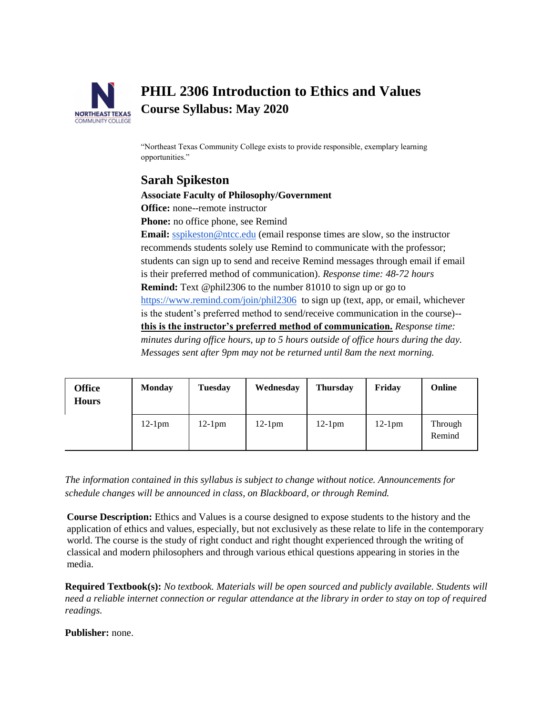

# **PHIL 2306 Introduction to Ethics and Values Course Syllabus: May 2020**

"Northeast Texas Community College exists to provide responsible, exemplary learning opportunities."

# **Sarah Spikeston**

# **Associate Faculty of Philosophy/Government**

**Office:** none--remote instructor

**Phone:** no office phone, see Remind

**Email:** [sspikeston@ntcc.edu](mailto:sspikeston@ntcc.edu) (email response times are slow, so the instructor recommends students solely use Remind to communicate with the professor; students can sign up to send and receive Remind messages through email if email is their preferred method of communication). *Response time: 48-72 hours* **Remind:** Text @phil2306 to the number 81010 to sign up or go to <https://www.remind.com/join/phil2306>to sign up (text, app, or email, whichever is the student's preferred method to send/receive communication in the course)- **this is the instructor's preferred method of communication.** *Response time: minutes during office hours, up to 5 hours outside of office hours during the day. Messages sent after 9pm may not be returned until 8am the next morning.* 

| <b>Office</b><br><b>Hours</b> | <b>Monday</b> | <b>Tuesday</b> | Wednesday | <b>Thursday</b> | Friday    | <b>Online</b>     |
|-------------------------------|---------------|----------------|-----------|-----------------|-----------|-------------------|
|                               | $12-1$ pm     | $12-1$ pm      | $12-1$ pm | $12-1$ pm       | $12-1$ pm | Through<br>Remind |

*The information contained in this syllabus is subject to change without notice. Announcements for schedule changes will be announced in class, on Blackboard, or through Remind.*

**Course Description:** Ethics and Values is a course designed to expose students to the history and the application of ethics and values, especially, but not exclusively as these relate to life in the contemporary world. The course is the study of right conduct and right thought experienced through the writing of classical and modern philosophers and through various ethical questions appearing in stories in the media.

**Required Textbook(s):** *No textbook. Materials will be open sourced and publicly available. Students will need a reliable internet connection or regular attendance at the library in order to stay on top of required readings.*

**Publisher:** none.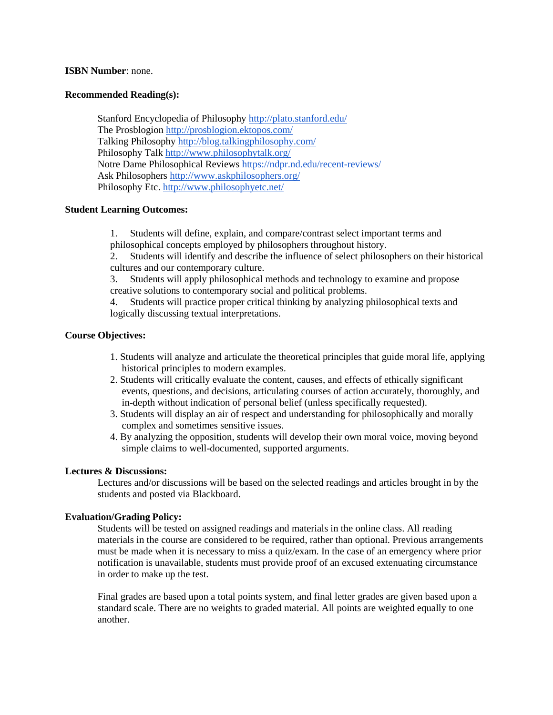#### **ISBN Number**: none.

#### **Recommended Reading(s):**

Stanford Encyclopedia of Philosoph[y](http://plato.stanford.edu/) <http://plato.stanford.edu/> The Prosblogio[n](http://prosblogion.ektopos.com/) <http://prosblogion.ektopos.com/> Talking Philosoph[y](http://blog.talkingphilosophy.com/) <http://blog.talkingphilosophy.com/> Philosophy Tal[k](http://www.philosophytalk.org/) <http://www.philosophytalk.org/> Notre Dame Philosophical Review[s](https://ndpr.nd.edu/recent-reviews/) <https://ndpr.nd.edu/recent-reviews/> Ask Philosopher[s](http://www.askphilosophers.org/) <http://www.askphilosophers.org/> Philosophy Et[c.](http://www.philosophyetc.net/) <http://www.philosophyetc.net/>

#### **Student Learning Outcomes:**

1. Students will define, explain, and compare/contrast select important terms and philosophical concepts employed by philosophers throughout history.

2. Students will identify and describe the influence of select philosophers on their historical cultures and our contemporary culture.

3. Students will apply philosophical methods and technology to examine and propose creative solutions to contemporary social and political problems.

4. Students will practice proper critical thinking by analyzing philosophical texts and logically discussing textual interpretations.

#### **Course Objectives:**

- 1. Students will analyze and articulate the theoretical principles that guide moral life, applying historical principles to modern examples.
- 2. Students will critically evaluate the content, causes, and effects of ethically significant events, questions, and decisions, articulating courses of action accurately, thoroughly, and in-depth without indication of personal belief (unless specifically requested).
- 3. Students will display an air of respect and understanding for philosophically and morally complex and sometimes sensitive issues.
- 4. By analyzing the opposition, students will develop their own moral voice, moving beyond simple claims to well-documented, supported arguments.

#### **Lectures & Discussions:**

Lectures and/or discussions will be based on the selected readings and articles brought in by the students and posted via Blackboard.

#### **Evaluation/Grading Policy:**

Students will be tested on assigned readings and materials in the online class. All reading materials in the course are considered to be required, rather than optional. Previous arrangements must be made when it is necessary to miss a quiz/exam. In the case of an emergency where prior notification is unavailable, students must provide proof of an excused extenuating circumstance in order to make up the test.

Final grades are based upon a total points system, and final letter grades are given based upon a standard scale. There are no weights to graded material. All points are weighted equally to one another.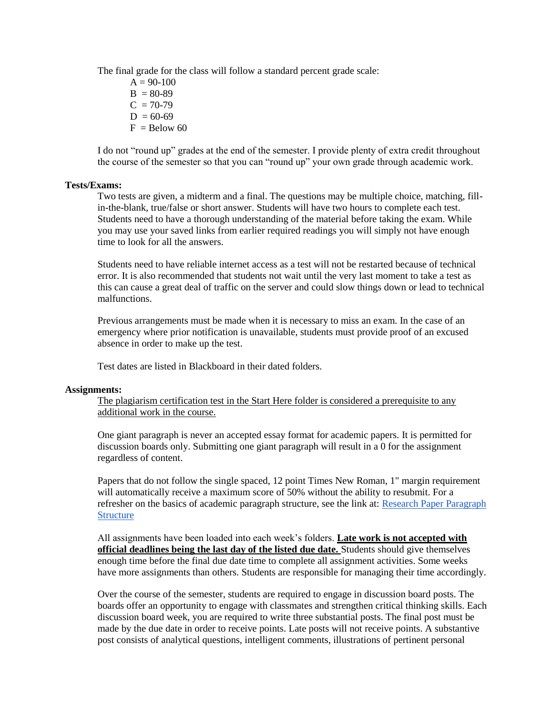The final grade for the class will follow a standard percent grade scale:

 $A = 90-100$  $B = 80-89$  $C = 70-79$  $D = 60-69$  $F =$ Below 60

I do not "round up" grades at the end of the semester. I provide plenty of extra credit throughout the course of the semester so that you can "round up" your own grade through academic work.

# **Tests/Exams:**

Two tests are given, a midterm and a final. The questions may be multiple choice, matching, fillin-the-blank, true/false or short answer. Students will have two hours to complete each test. Students need to have a thorough understanding of the material before taking the exam. While you may use your saved links from earlier required readings you will simply not have enough time to look for all the answers.

Students need to have reliable internet access as a test will not be restarted because of technical error. It is also recommended that students not wait until the very last moment to take a test as this can cause a great deal of traffic on the server and could slow things down or lead to technical malfunctions.

Previous arrangements must be made when it is necessary to miss an exam. In the case of an emergency where prior notification is unavailable, students must provide proof of an excused absence in order to make up the test.

Test dates are listed in Blackboard in their dated folders.

#### **Assignments:**

The plagiarism certification test in the Start Here folder is considered a prerequisite to any additional work in the course.

One giant paragraph is never an accepted essay format for academic papers. It is permitted for discussion boards only. Submitting one giant paragraph will result in a 0 for the assignment regardless of content.

Papers that do not follow the single spaced, 12 point Times New Roman, 1" margin requirement will automatically receive a maximum score of 50% without the ability to resubmit. For a refresher on the basics of academic paragraph structure, see the link at: [Research Paper Paragraph](https://www.scribbr.com/research-paper/paragraph-structure/)  **Structure** 

All assignments have been loaded into each week's folders. **Late work is not accepted with official deadlines being the last day of the listed due date.** Students should give themselves enough time before the final due date time to complete all assignment activities. Some weeks have more assignments than others. Students are responsible for managing their time accordingly.

Over the course of the semester, students are required to engage in discussion board posts. The boards offer an opportunity to engage with classmates and strengthen critical thinking skills. Each discussion board week, you are required to write three substantial posts. The final post must be made by the due date in order to receive points. Late posts will not receive points. A substantive post consists of analytical questions, intelligent comments, illustrations of pertinent personal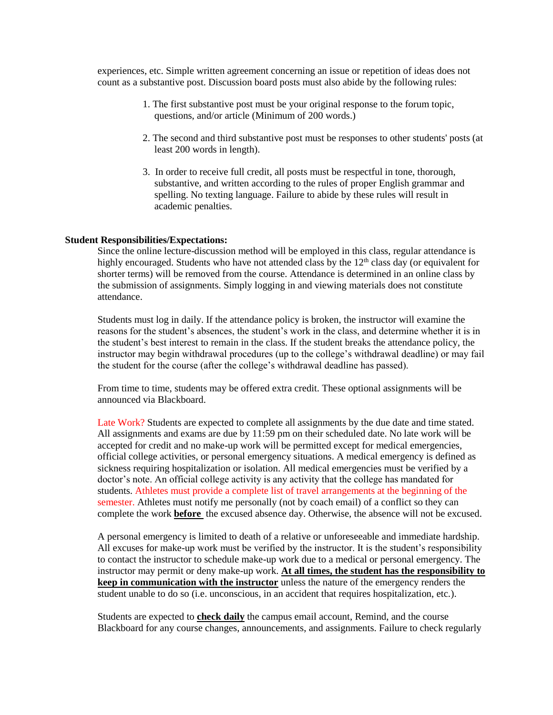experiences, etc. Simple written agreement concerning an issue or repetition of ideas does not count as a substantive post. Discussion board posts must also abide by the following rules:

- 1. The first substantive post must be your original response to the forum topic, questions, and/or article (Minimum of 200 words.)
- 2. The second and third substantive post must be responses to other students' posts (at least 200 words in length).
- 3. In order to receive full credit, all posts must be respectful in tone, thorough, substantive, and written according to the rules of proper English grammar and spelling. No texting language. Failure to abide by these rules will result in academic penalties.

#### **Student Responsibilities/Expectations:**

Since the online lecture-discussion method will be employed in this class, regular attendance is highly encouraged. Students who have not attended class by the  $12<sup>th</sup>$  class day (or equivalent for shorter terms) will be removed from the course. Attendance is determined in an online class by the submission of assignments. Simply logging in and viewing materials does not constitute attendance.

Students must log in daily. If the attendance policy is broken, the instructor will examine the reasons for the student's absences, the student's work in the class, and determine whether it is in the student's best interest to remain in the class. If the student breaks the attendance policy, the instructor may begin withdrawal procedures (up to the college's withdrawal deadline) or may fail the student for the course (after the college's withdrawal deadline has passed).

From time to time, students may be offered extra credit. These optional assignments will be announced via Blackboard.

Late Work? Students are expected to complete all assignments by the due date and time stated. All assignments and exams are due by 11:59 pm on their scheduled date. No late work will be accepted for credit and no make-up work will be permitted except for medical emergencies, official college activities, or personal emergency situations. A medical emergency is defined as sickness requiring hospitalization or isolation. All medical emergencies must be verified by a doctor's note. An official college activity is any activity that the college has mandated for students. Athletes must provide a complete list of travel arrangements at the beginning of the semester. Athletes must notify me personally (not by coach email) of a conflict so they can complete the work **before** the excused absence day. Otherwise, the absence will not be excused.

A personal emergency is limited to death of a relative or unforeseeable and immediate hardship. All excuses for make-up work must be verified by the instructor. It is the student's responsibility to contact the instructor to schedule make-up work due to a medical or personal emergency. The instructor may permit or deny make-up work. **At all times, the student has the responsibility to keep in communication with the instructor** unless the nature of the emergency renders the student unable to do so (i.e. unconscious, in an accident that requires hospitalization, etc.).

Students are expected to **check daily** the campus email account, Remind, and the course Blackboard for any course changes, announcements, and assignments. Failure to check regularly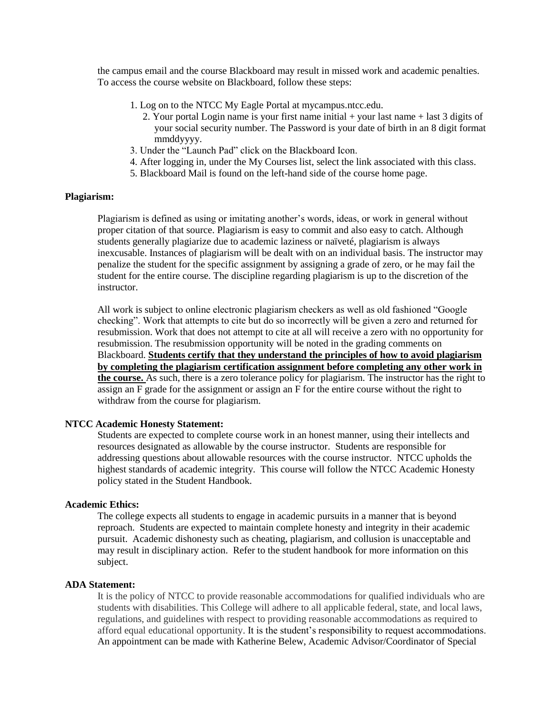the campus email and the course Blackboard may result in missed work and academic penalties. To access the course website on Blackboard, follow these steps:

- 1. Log on to the NTCC My Eagle Portal at mycampus.ntcc.edu.
	- 2. Your portal Login name is your first name initial + your last name + last 3 digits of your social security number. The Password is your date of birth in an 8 digit format mmddyyyy.
- 3. Under the "Launch Pad" click on the Blackboard Icon.
- 4. After logging in, under the My Courses list, select the link associated with this class.
- 5. Blackboard Mail is found on the left-hand side of the course home page.

#### **Plagiarism:**

Plagiarism is defined as using or imitating another's words, ideas, or work in general without proper citation of that source. Plagiarism is easy to commit and also easy to catch. Although students generally plagiarize due to academic laziness or naïveté, plagiarism is always inexcusable. Instances of plagiarism will be dealt with on an individual basis. The instructor may penalize the student for the specific assignment by assigning a grade of zero, or he may fail the student for the entire course. The discipline regarding plagiarism is up to the discretion of the instructor.

All work is subject to online electronic plagiarism checkers as well as old fashioned "Google checking". Work that attempts to cite but do so incorrectly will be given a zero and returned for resubmission. Work that does not attempt to cite at all will receive a zero with no opportunity for resubmission. The resubmission opportunity will be noted in the grading comments on Blackboard. **Students certify that they understand the principles of how to avoid plagiarism by completing the plagiarism certification assignment before completing any other work in the course.** As such, there is a zero tolerance policy for plagiarism. The instructor has the right to assign an F grade for the assignment or assign an F for the entire course without the right to withdraw from the course for plagiarism.

#### **NTCC Academic Honesty Statement:**

Students are expected to complete course work in an honest manner, using their intellects and resources designated as allowable by the course instructor. Students are responsible for addressing questions about allowable resources with the course instructor. NTCC upholds the highest standards of academic integrity. This course will follow the NTCC Academic Honesty policy stated in the Student Handbook.

#### **Academic Ethics:**

The college expects all students to engage in academic pursuits in a manner that is beyond reproach. Students are expected to maintain complete honesty and integrity in their academic pursuit. Academic dishonesty such as cheating, plagiarism, and collusion is unacceptable and may result in disciplinary action. Refer to the student handbook for more information on this subject.

#### **ADA Statement:**

It is the policy of NTCC to provide reasonable accommodations for qualified individuals who are students with disabilities. This College will adhere to all applicable federal, state, and local laws, regulations, and guidelines with respect to providing reasonable accommodations as required to afford equal educational opportunity. It is the student's responsibility to request accommodations. An appointment can be made with Katherine Belew, Academic Advisor/Coordinator of Special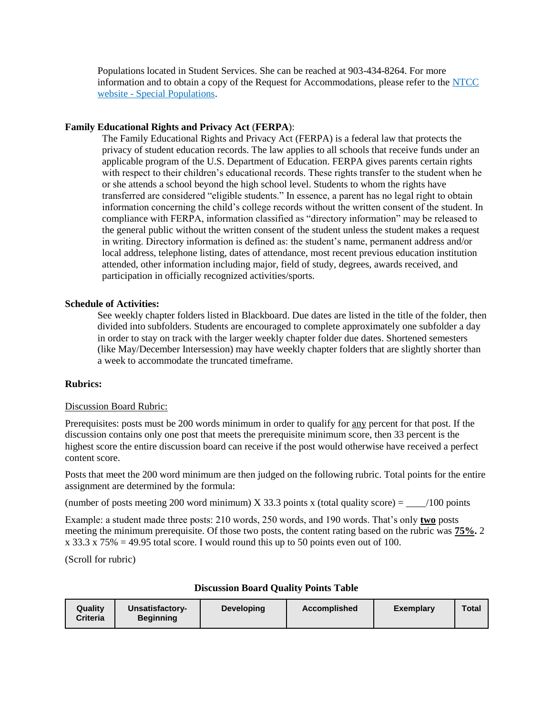Populations located in Student Services. She can be reached at 903-434-8264. For more information and to obtain a copy of the Request for Accommodations, please refer to th[e](http://www.ntcc.edu/index.php?module=Pagesetter&func=viewpub&tid=111&pid=1) [NTCC](http://www.ntcc.edu/index.php?module=Pagesetter&func=viewpub&tid=111&pid=1)  website - [Special Populations.](http://www.ntcc.edu/index.php?module=Pagesetter&func=viewpub&tid=111&pid=1)

#### **Family Educational Rights and Privacy Act** (**FERPA**):

The Family Educational Rights and Privacy Act (FERPA) is a federal law that protects the privacy of student education records. The law applies to all schools that receive funds under an applicable program of the U.S. Department of Education. FERPA gives parents certain rights with respect to their children's educational records. These rights transfer to the student when he or she attends a school beyond the high school level. Students to whom the rights have transferred are considered "eligible students." In essence, a parent has no legal right to obtain information concerning the child's college records without the written consent of the student. In compliance with FERPA, information classified as "directory information" may be released to the general public without the written consent of the student unless the student makes a request in writing. Directory information is defined as: the student's name, permanent address and/or local address, telephone listing, dates of attendance, most recent previous education institution attended, other information including major, field of study, degrees, awards received, and participation in officially recognized activities/sports.

#### **Schedule of Activities:**

See weekly chapter folders listed in Blackboard. Due dates are listed in the title of the folder, then divided into subfolders. Students are encouraged to complete approximately one subfolder a day in order to stay on track with the larger weekly chapter folder due dates. Shortened semesters (like May/December Intersession) may have weekly chapter folders that are slightly shorter than a week to accommodate the truncated timeframe.

#### **Rubrics:**

#### Discussion Board Rubric:

Prerequisites: posts must be 200 words minimum in order to qualify for any percent for that post. If the discussion contains only one post that meets the prerequisite minimum score, then 33 percent is the highest score the entire discussion board can receive if the post would otherwise have received a perfect content score.

Posts that meet the 200 word minimum are then judged on the following rubric. Total points for the entire assignment are determined by the formula:

(number of posts meeting 200 word minimum) X 33.3 points x (total quality score) =  $\frac{100 \text{ points}}{200 \text{ points}}$ 

Example: a student made three posts: 210 words, 250 words, and 190 words. That's only **two** posts meeting the minimum prerequisite. Of those two posts, the content rating based on the rubric was **75%.** 2  $x$  33.3  $x$  75% = 49.95 total score. I would round this up to 50 points even out of 100.

(Scroll for rubric)

| Quality<br><b>Criteria</b> | Unsatisfactory-<br><b>Beginning</b> | <b>Developing</b> | <b>Accomplished</b> | Exemplary | Total |
|----------------------------|-------------------------------------|-------------------|---------------------|-----------|-------|
|                            |                                     |                   |                     |           |       |

#### **Discussion Board Quality Points Table**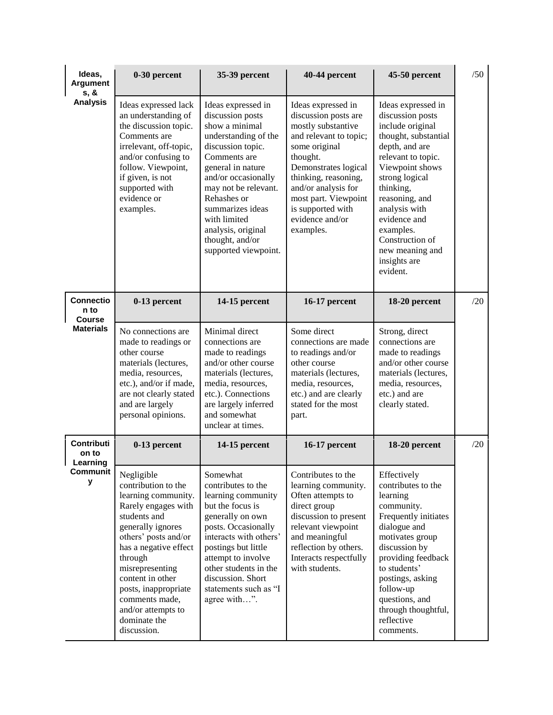| Ideas,<br>Argument<br>s, &         | 0-30 percent                                                                                                                                                                                                                                                                                                           | 35-39 percent                                                                                                                                                                                                                                                                                                 | 40-44 percent                                                                                                                                                                                                                                                               | 45-50 percent                                                                                                                                                                                                                                                                                                  | /50 |
|------------------------------------|------------------------------------------------------------------------------------------------------------------------------------------------------------------------------------------------------------------------------------------------------------------------------------------------------------------------|---------------------------------------------------------------------------------------------------------------------------------------------------------------------------------------------------------------------------------------------------------------------------------------------------------------|-----------------------------------------------------------------------------------------------------------------------------------------------------------------------------------------------------------------------------------------------------------------------------|----------------------------------------------------------------------------------------------------------------------------------------------------------------------------------------------------------------------------------------------------------------------------------------------------------------|-----|
| <b>Analysis</b>                    | Ideas expressed lack<br>an understanding of<br>the discussion topic.<br>Comments are<br>irrelevant, off-topic,<br>and/or confusing to<br>follow. Viewpoint,<br>if given, is not<br>supported with<br>evidence or<br>examples.                                                                                          | Ideas expressed in<br>discussion posts<br>show a minimal<br>understanding of the<br>discussion topic.<br>Comments are<br>general in nature<br>and/or occasionally<br>may not be relevant.<br>Rehashes or<br>summarizes ideas<br>with limited<br>analysis, original<br>thought, and/or<br>supported viewpoint. | Ideas expressed in<br>discussion posts are<br>mostly substantive<br>and relevant to topic;<br>some original<br>thought.<br>Demonstrates logical<br>thinking, reasoning,<br>and/or analysis for<br>most part. Viewpoint<br>is supported with<br>evidence and/or<br>examples. | Ideas expressed in<br>discussion posts<br>include original<br>thought, substantial<br>depth, and are<br>relevant to topic.<br>Viewpoint shows<br>strong logical<br>thinking,<br>reasoning, and<br>analysis with<br>evidence and<br>examples.<br>Construction of<br>new meaning and<br>insights are<br>evident. |     |
| <b>Connectio</b><br>n to<br>Course | 0-13 percent                                                                                                                                                                                                                                                                                                           | 14-15 percent                                                                                                                                                                                                                                                                                                 | 16-17 percent                                                                                                                                                                                                                                                               | 18-20 percent                                                                                                                                                                                                                                                                                                  | /20 |
| <b>Materials</b>                   | No connections are<br>made to readings or<br>other course<br>materials (lectures,<br>media, resources,<br>etc.), and/or if made,<br>are not clearly stated<br>and are largely<br>personal opinions.                                                                                                                    | Minimal direct<br>connections are<br>made to readings<br>and/or other course<br>materials (lectures,<br>media, resources,<br>etc.). Connections<br>are largely inferred<br>and somewhat<br>unclear at times.                                                                                                  | Some direct<br>connections are made<br>to readings and/or<br>other course<br>materials (lectures,<br>media, resources,<br>etc.) and are clearly<br>stated for the most<br>part.                                                                                             | Strong, direct<br>connections are<br>made to readings<br>and/or other course<br>materials (lectures,<br>media, resources,<br>etc.) and are<br>clearly stated.                                                                                                                                                  |     |
| Contributi<br>on to<br>Learning    | 0-13 percent                                                                                                                                                                                                                                                                                                           | 14-15 percent                                                                                                                                                                                                                                                                                                 | 16-17 percent                                                                                                                                                                                                                                                               | 18-20 percent                                                                                                                                                                                                                                                                                                  | /20 |
| Communit<br>у                      | Negligible<br>contribution to the<br>learning community.<br>Rarely engages with<br>students and<br>generally ignores<br>others' posts and/or<br>has a negative effect<br>through<br>misrepresenting<br>content in other<br>posts, inappropriate<br>comments made,<br>and/or attempts to<br>dominate the<br>discussion. | Somewhat<br>contributes to the<br>learning community<br>but the focus is<br>generally on own<br>posts. Occasionally<br>interacts with others'<br>postings but little<br>attempt to involve<br>other students in the<br>discussion. Short<br>statements such as "I<br>agree with".                             | Contributes to the<br>learning community.<br>Often attempts to<br>direct group<br>discussion to present<br>relevant viewpoint<br>and meaningful<br>reflection by others.<br>Interacts respectfully<br>with students.                                                        | Effectively<br>contributes to the<br>learning<br>community.<br>Frequently initiates<br>dialogue and<br>motivates group<br>discussion by<br>providing feedback<br>to students'<br>postings, asking<br>follow-up<br>questions, and<br>through thoughtful,<br>reflective<br>comments.                             |     |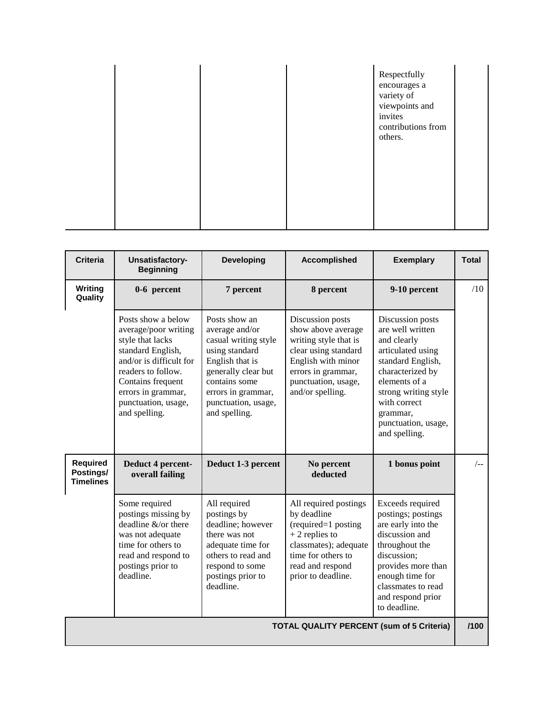|  |  |  | Respectfully<br>encourages a<br>variety of<br>viewpoints and<br>invites<br>contributions from<br>others. |  |
|--|--|--|----------------------------------------------------------------------------------------------------------|--|
|--|--|--|----------------------------------------------------------------------------------------------------------|--|

| <b>Criteria</b>                           | Unsatisfactory-<br><b>Beginning</b>                                                                                                                                                                                     | <b>Developing</b>                                                                                                                                                                                  | <b>Accomplished</b>                                                                                                                                                            | <b>Exemplary</b>                                                                                                                                                                                                               | <b>Total</b> |
|-------------------------------------------|-------------------------------------------------------------------------------------------------------------------------------------------------------------------------------------------------------------------------|----------------------------------------------------------------------------------------------------------------------------------------------------------------------------------------------------|--------------------------------------------------------------------------------------------------------------------------------------------------------------------------------|--------------------------------------------------------------------------------------------------------------------------------------------------------------------------------------------------------------------------------|--------------|
| Writing<br>Quality                        | 0-6 percent                                                                                                                                                                                                             | 7 percent                                                                                                                                                                                          | 8 percent                                                                                                                                                                      | 9-10 percent                                                                                                                                                                                                                   | /10          |
|                                           | Posts show a below<br>average/poor writing<br>style that lacks<br>standard English,<br>and/or is difficult for<br>readers to follow.<br>Contains frequent<br>errors in grammar,<br>punctuation, usage,<br>and spelling. | Posts show an<br>average and/or<br>casual writing style<br>using standard<br>English that is<br>generally clear but<br>contains some<br>errors in grammar,<br>punctuation, usage,<br>and spelling. | Discussion posts<br>show above average<br>writing style that is<br>clear using standard<br>English with minor<br>errors in grammar,<br>punctuation, usage,<br>and/or spelling. | Discussion posts<br>are well written<br>and clearly<br>articulated using<br>standard English,<br>characterized by<br>elements of a<br>strong writing style<br>with correct<br>grammar,<br>punctuation, usage,<br>and spelling. |              |
| Required<br>Postings/<br><b>Timelines</b> | Deduct 4 percent-<br>overall failing                                                                                                                                                                                    | Deduct 1-3 percent                                                                                                                                                                                 | No percent<br>deducted                                                                                                                                                         | 1 bonus point                                                                                                                                                                                                                  | $/_{--}$     |
|                                           | Some required<br>postings missing by<br>deadline $&$ /or there<br>was not adequate<br>time for others to<br>read and respond to<br>postings prior to<br>deadline.                                                       | All required<br>postings by<br>deadline; however<br>there was not<br>adequate time for<br>others to read and<br>respond to some<br>postings prior to<br>deadline.                                  | All required postings<br>by deadline<br>(required=1 posting<br>$+2$ replies to<br>classmates); adequate<br>time for others to<br>read and respond<br>prior to deadline.        | Exceeds required<br>postings; postings<br>are early into the<br>discussion and<br>throughout the<br>discussion;<br>provides more than<br>enough time for<br>classmates to read<br>and respond prior<br>to deadline.            |              |
|                                           |                                                                                                                                                                                                                         |                                                                                                                                                                                                    | <b>TOTAL QUALITY PERCENT (sum of 5 Criteria)</b>                                                                                                                               |                                                                                                                                                                                                                                | /100         |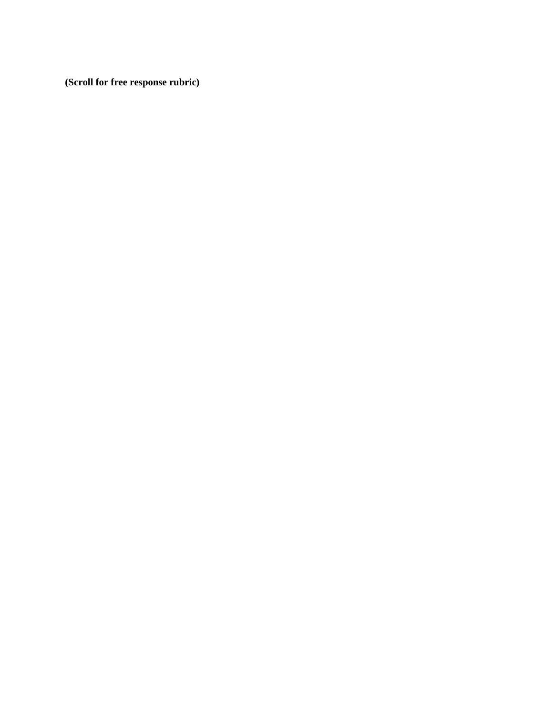**(Scroll for free response rubric)**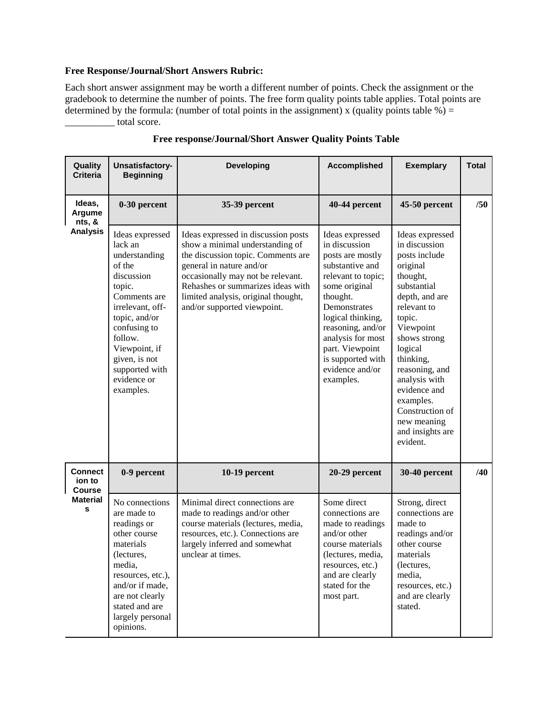### **Free Response/Journal/Short Answers Rubric:**

Each short answer assignment may be worth a different number of points. Check the assignment or the gradebook to determine the number of points. The free form quality points table applies. Total points are determined by the formula: (number of total points in the assignment) x (quality points table  $\%$ ) =  $\frac{1}{\sqrt{1-\frac{1}{\sqrt{1-\frac{1}{\sqrt{1-\frac{1}{\sqrt{1-\frac{1}{\sqrt{1-\frac{1}{\sqrt{1-\frac{1}{\sqrt{1-\frac{1}{\sqrt{1-\frac{1}{\sqrt{1-\frac{1}{\sqrt{1-\frac{1}{\sqrt{1-\frac{1}{\sqrt{1-\frac{1}{\sqrt{1-\frac{1}{\sqrt{1-\frac{1}{\sqrt{1-\frac{1}{\sqrt{1-\frac{1}{\sqrt{1-\frac{1}{\sqrt{1-\frac{1}{\sqrt{1-\frac{1}{\sqrt{1-\frac{1}{\sqrt{1-\frac{1}{\sqrt{1-\frac{1}{\sqrt{1-\frac{1}{\sqrt{1-\frac{1$ 

| Quality<br><b>Criteria</b>                | Unsatisfactory-<br><b>Beginning</b>                                                                                                                                                                                                           | <b>Developing</b>                                                                                                                                                                                                                                                                        | <b>Accomplished</b>                                                                                                                                                                                                                                                               | <b>Exemplary</b>                                                                                                                                                                                                                                                                                                           | <b>Total</b> |
|-------------------------------------------|-----------------------------------------------------------------------------------------------------------------------------------------------------------------------------------------------------------------------------------------------|------------------------------------------------------------------------------------------------------------------------------------------------------------------------------------------------------------------------------------------------------------------------------------------|-----------------------------------------------------------------------------------------------------------------------------------------------------------------------------------------------------------------------------------------------------------------------------------|----------------------------------------------------------------------------------------------------------------------------------------------------------------------------------------------------------------------------------------------------------------------------------------------------------------------------|--------------|
| Ideas,<br>Argume<br>nts, &                | 0-30 percent                                                                                                                                                                                                                                  | 35-39 percent                                                                                                                                                                                                                                                                            | 40-44 percent                                                                                                                                                                                                                                                                     | 45-50 percent                                                                                                                                                                                                                                                                                                              | /50          |
| <b>Analysis</b>                           | Ideas expressed<br>lack an<br>understanding<br>of the<br>discussion<br>topic.<br>Comments are<br>irrelevant, off-<br>topic, and/or<br>confusing to<br>follow.<br>Viewpoint, if<br>given, is not<br>supported with<br>evidence or<br>examples. | Ideas expressed in discussion posts<br>show a minimal understanding of<br>the discussion topic. Comments are<br>general in nature and/or<br>occasionally may not be relevant.<br>Rehashes or summarizes ideas with<br>limited analysis, original thought,<br>and/or supported viewpoint. | Ideas expressed<br>in discussion<br>posts are mostly<br>substantive and<br>relevant to topic;<br>some original<br>thought.<br>Demonstrates<br>logical thinking,<br>reasoning, and/or<br>analysis for most<br>part. Viewpoint<br>is supported with<br>evidence and/or<br>examples. | Ideas expressed<br>in discussion<br>posts include<br>original<br>thought,<br>substantial<br>depth, and are<br>relevant to<br>topic.<br>Viewpoint<br>shows strong<br>logical<br>thinking,<br>reasoning, and<br>analysis with<br>evidence and<br>examples.<br>Construction of<br>new meaning<br>and insights are<br>evident. |              |
| <b>Connect</b><br>ion to<br><b>Course</b> | 0-9 percent                                                                                                                                                                                                                                   | 10-19 percent                                                                                                                                                                                                                                                                            | 20-29 percent                                                                                                                                                                                                                                                                     | 30-40 percent                                                                                                                                                                                                                                                                                                              | /40          |
| <b>Material</b><br>s                      | No connections<br>are made to<br>readings or<br>other course<br>materials<br>(lectures,<br>media,<br>resources, etc.),<br>and/or if made,<br>are not clearly<br>stated and are<br>largely personal<br>opinions.                               | Minimal direct connections are<br>made to readings and/or other<br>course materials (lectures, media,<br>resources, etc.). Connections are<br>largely inferred and somewhat<br>unclear at times.                                                                                         | Some direct<br>connections are<br>made to readings<br>and/or other<br>course materials<br>(lectures, media,<br>resources, etc.)<br>and are clearly<br>stated for the<br>most part.                                                                                                | Strong, direct<br>connections are<br>made to<br>readings and/or<br>other course<br>materials<br>(lectures,<br>media,<br>resources, etc.)<br>and are clearly<br>stated.                                                                                                                                                     |              |

# **Free response/Journal/Short Answer Quality Points Table**